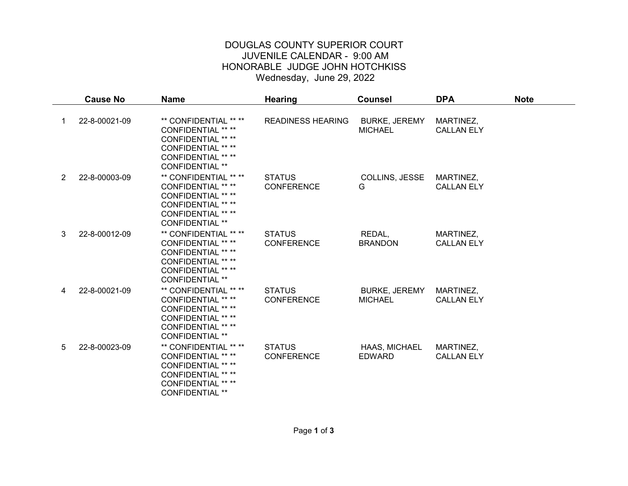## DOUGLAS COUNTY SUPERIOR COURT JUVENILE CALENDAR - 9:00 AM HONORABLE JUDGE JOHN HOTCHKISS Wednesday, June 29, 2022

|                | <b>Cause No</b> | <b>Name</b>                                                                                                                                                         | <b>Hearing</b>                     | <b>Counsel</b>                         | <b>DPA</b>                     | <b>Note</b> |
|----------------|-----------------|---------------------------------------------------------------------------------------------------------------------------------------------------------------------|------------------------------------|----------------------------------------|--------------------------------|-------------|
|                | 22-8-00021-09   | ** CONFIDENTIAL ** **<br>CONFIDENTIAL ** **<br><b>CONFIDENTIAL ** **</b><br><b>CONFIDENTIAL ** **</b><br><b>CONFIDENTIAL ** **</b><br><b>CONFIDENTIAL **</b>        | <b>READINESS HEARING</b>           | <b>BURKE, JEREMY</b><br><b>MICHAEL</b> | MARTINEZ,<br><b>CALLAN ELY</b> |             |
| $\overline{2}$ | 22-8-00003-09   | ** CONFIDENTIAL ** **<br>CONFIDENTIAL ** **<br>CONFIDENTIAL ** **<br><b>CONFIDENTIAL ** **</b><br>CONFIDENTIAL ** **<br><b>CONFIDENTIAL **</b>                      | <b>STATUS</b><br><b>CONFERENCE</b> | COLLINS, JESSE<br>G                    | MARTINEZ,<br><b>CALLAN ELY</b> |             |
| 3              | 22-8-00012-09   | ** CONFIDENTIAL ** **<br><b>CONFIDENTIAL ** **</b><br><b>CONFIDENTIAL ** **</b><br><b>CONFIDENTIAL ** **</b><br><b>CONFIDENTIAL ** **</b><br><b>CONFIDENTIAL **</b> | <b>STATUS</b><br><b>CONFERENCE</b> | REDAL,<br><b>BRANDON</b>               | MARTINEZ,<br><b>CALLAN ELY</b> |             |
| 4              | 22-8-00021-09   | ** CONFIDENTIAL ** **<br>CONFIDENTIAL ** **<br>CONFIDENTIAL ** **<br><b>CONFIDENTIAL ** **</b><br><b>CONFIDENTIAL ** **</b><br><b>CONFIDENTIAL **</b>               | <b>STATUS</b><br><b>CONFERENCE</b> | <b>BURKE, JEREMY</b><br><b>MICHAEL</b> | MARTINEZ,<br><b>CALLAN ELY</b> |             |
| 5              | 22-8-00023-09   | ** CONFIDENTIAL ** **<br><b>CONFIDENTIAL ** **</b><br><b>CONFIDENTIAL ** **</b><br><b>CONFIDENTIAL ** **</b><br><b>CONFIDENTIAL ** **</b><br><b>CONFIDENTIAL **</b> | <b>STATUS</b><br><b>CONFERENCE</b> | HAAS, MICHAEL<br><b>EDWARD</b>         | MARTINEZ,<br><b>CALLAN ELY</b> |             |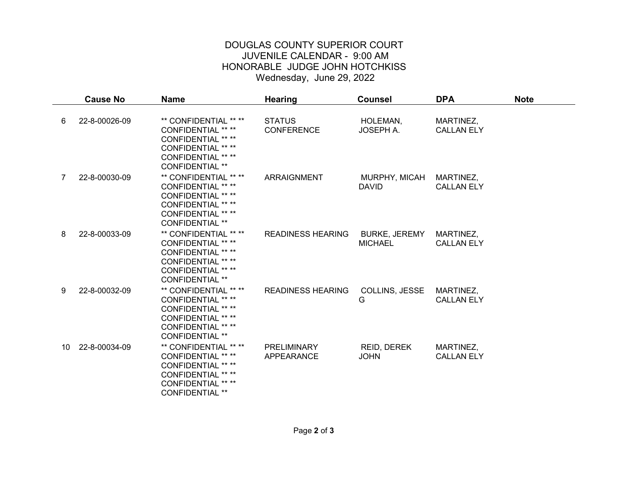## DOUGLAS COUNTY SUPERIOR COURT JUVENILE CALENDAR - 9:00 AM HONORABLE JUDGE JOHN HOTCHKISS Wednesday, June 29, 2022

|    | <b>Cause No</b> | <b>Name</b>                                                                                                                                                         | <b>Hearing</b>                     | <b>Counsel</b>                         | <b>DPA</b>                     | <b>Note</b> |
|----|-----------------|---------------------------------------------------------------------------------------------------------------------------------------------------------------------|------------------------------------|----------------------------------------|--------------------------------|-------------|
| 6  | 22-8-00026-09   | ** CONFIDENTIAL ** **<br>CONFIDENTIAL ** **<br><b>CONFIDENTIAL ** **</b><br>CONFIDENTIAL ** **<br>CONFIDENTIAL ** **<br><b>CONFIDENTIAL **</b>                      | <b>STATUS</b><br><b>CONFERENCE</b> | HOLEMAN,<br>JOSEPH A.                  | MARTINEZ,<br><b>CALLAN ELY</b> |             |
| 7  | 22-8-00030-09   | ** CONFIDENTIAL ** **<br><b>CONFIDENTIAL ** **</b><br><b>CONFIDENTIAL ** **</b><br><b>CONFIDENTIAL ** **</b><br><b>CONFIDENTIAL ** **</b><br><b>CONFIDENTIAL **</b> | <b>ARRAIGNMENT</b>                 | MURPHY, MICAH<br><b>DAVID</b>          | MARTINEZ,<br><b>CALLAN ELY</b> |             |
| 8  | 22-8-00033-09   | ** CONFIDENTIAL ** **<br><b>CONFIDENTIAL ** **</b><br><b>CONFIDENTIAL ** **</b><br><b>CONFIDENTIAL ** **</b><br><b>CONFIDENTIAL ** **</b><br><b>CONFIDENTIAL **</b> | <b>READINESS HEARING</b>           | <b>BURKE, JEREMY</b><br><b>MICHAEL</b> | MARTINEZ,<br><b>CALLAN ELY</b> |             |
| 9  | 22-8-00032-09   | ** CONFIDENTIAL ** **<br><b>CONFIDENTIAL ** **</b><br><b>CONFIDENTIAL ** **</b><br>CONFIDENTIAL ** **<br><b>CONFIDENTIAL ** **</b><br><b>CONFIDENTIAL **</b>        | <b>READINESS HEARING</b>           | COLLINS, JESSE<br>G                    | MARTINEZ,<br><b>CALLAN ELY</b> |             |
| 10 | 22-8-00034-09   | ** CONFIDENTIAL ** **<br><b>CONFIDENTIAL ** **</b><br><b>CONFIDENTIAL ** **</b><br><b>CONFIDENTIAL ** **</b><br><b>CONFIDENTIAL ** **</b><br><b>CONFIDENTIAL **</b> | <b>PRELIMINARY</b><br>APPEARANCE   | REID, DEREK<br><b>JOHN</b>             | MARTINEZ,<br><b>CALLAN ELY</b> |             |